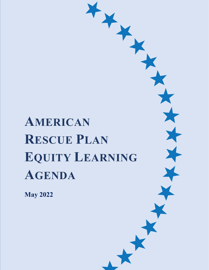# **AMERICAN RESCUE PLAN EQUITY LEARNING AGENDA**

**ADVANCING EQUITY THROUGH THE AMERICAN RESCUE PLAN** 1

**May 2022**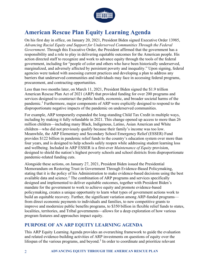

# **American Rescue Plan Equity Learning Agenda**

On his first day in office, on January 20, 2021, President Biden signed Executive Order 13985, *Advancing Racial Equity and Support for Underserved Communities Through the Federal Government*. Through this Executive Order, the President affirmed that the government has a responsibility and a role to play in delivering equitable outcomes for the American people. His action directed staff to recognize and work to advance equity through the tools of the federal government, including for "people of color and others who have been historically underserved, marginalized, and adversely affected by persistent poverty and inequality." Upon signing, federal agencies were tasked with assessing current practices and developing a plan to address any barriers that underserved communities and individuals may face in accessing federal programs, procurement, and contracting opportunities.

Less than two months later, on March 11, 2021, President Biden signed the \$1.9 trillion American Rescue Plan Act of 2021 (ARP) that provided funding for over 200 programs and services designed to counteract the public health, economic, and broader societal harms of the pandemic.<sup>[1](#page-13-0)</sup> Furthermore, major components of ARP were explicitly designed to respond to the disproportionate negative impacts of the pandemic on underserved communities.

For example, ARP temporarily expanded the long-standing Child Tax Credit in multiple ways, including by making it fully refundable in 2021. This change opened up access to more than 26 million children—including many Black, Indigenous, Latino, Asian American and White children—who did not previously qualify because their family's income was too low. Meanwhile, the ARP Elementary and Secondary School Emergency Relief (ESSER) Fund provides \$122 billion in pandemic relief funds to the country's education system over more than four years, and is designed to help schools safely reopen while addressing student learning loss and wellbeing. Included in ARP ESSER is a first-ever *Maintenance of Equity* provision, designed to shield the nation's highest poverty schools and school districts from disproportionate pandemic-related funding cuts.

Alongside these actions, on January 27, 2021, President Biden issued the Presidential Memorandum on Restoring Trust in Government Through Evidence-Based Policymaking, stating that it is the policy of his Administration to make evidence-based decisions using the best available data and science.<sup>[2](#page-13-1)</sup> The combination of ARP programs and services specifically designed and implemented to deliver equitable outcomes, together with President Biden's mandate for the government to work to achieve equity and promote evidence-based policymaking, creates a unique opportunity to learn what types of government actions work to build an equitable recovery. Further, the significant variation among ARP-funded programs from direct economic payments to individuals and families, to new competitive grants to improve and modernize public benefits programs, to \$350 billion in flexible relief funds to states, localities, territories, and Tribal governments—allows for a deep exploration of how various program features and approaches impact equity.

### **PURPOSE OF AN ARP EQUITY LEARNING AGENDA**

This ARP Equity Learning Agenda provides an overarching framework to guide the evaluation and related evidence-building activities of ARP investments on questions of equity over the lifespan of the various programs, and beyond.<sup>[3](#page-13-2)</sup> In order to coordinate and prioritize relevant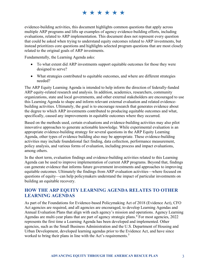# \* \* \* \* \* \*

evidence-building activities, this document highlights common questions that apply across multiple ARP programs and lifts up examples of agency evidence-building efforts, including evaluations, related to ARP implementation. This document does not represent every question that could be asked when trying to understand equity outcomes related to ARP investments, but instead prioritizes core questions and highlights selected program questions that are most closely related to the original goals of ARP investments.

Fundamentally, the Learning Agenda asks:

- To what extent did ARP investments support equitable outcomes for those they were designed to serve?
- What strategies contributed to equitable outcomes, and where are different strategies needed?

The ARP Equity Learning Agenda is intended to help inform the direction of federally-funded ARP equity-related research and analysis. In addition, academics, researchers, community organizations, state and local governments, and other external stakeholders are encouraged to use this Learning Agenda to shape and inform relevant external evaluation and related evidencebuilding activities. Ultimately, the goal is to encourage research that generates evidence about the degree to which ARP investments contributed to producing equitable outcomes and what, specifically, caused any improvements in equitable outcomes where they occurred.

Based on the methods used, certain evaluations and evidence-building activities may also pilot innovative approaches to generate actionable knowledge. While experimental evaluation is an appropriate evidence-building strategy for several questions in the ARP Equity Learning Agenda, other types of evidence building also may be appropriate. These evidence-building activities may include foundational fact finding, data collection, performance measurement, policy analysis, and various forms of evaluation, including process and impact evaluations, among others.

In the short term, evaluation findings and evidence-building activities related to this Learning Agenda can be used to improve implementation of current ARP programs. Beyond that, findings can generate evidence that informs future government investments and approaches to improving equitable outcomes. Ultimately the findings from ARP evaluation activities—where focused on questions of equity—can help policymakers understand the impact of particular investments on building an equitable recovery.

## **HOW THE ARP EQUITY LEARNING AGENDA RELATES TO OTHER LEARNING AGENDAS**

As part of the Foundations for Evidence-based Policymaking Act of 2018 (Evidence Act), CFO Act agencies are required, and all agencies are encouraged, to develop Learning Agendas and Annual Evaluation Plans that align with each agency's mission and operations. Agency Learning Agendas are multi-year plans that are part of agency strategic plans.<sup>[4](#page-13-3)</sup> For most agencies, 2022 represents the first time a Learning Agenda has been developed and implemented. Other agencies, such as the Small Business Administration and the U.S. Department of Housing and Urban Development, developed learning agendas prior to the Evidence Act, and have since worked to bring their plans in line with the Act's requirements.<sup>[5](#page-13-4)</sup>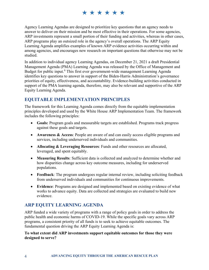# \*\*\*\*\*\*

Agency Learning Agendas are designed to prioritize key questions that an agency needs to answer to deliver on their mission and be most effective in their operations. For some agencies, ARP investments represent a small portion of their funding and activities, whereas in other cases, ARP programs play an outsized role in the agency's overall operations. The ARP Equity Learning Agenda amplifies examples of known ARP evidence activities occurring within and among agencies, and encourages new research on important questions that otherwise may not be studied.

In addition to individual agency Learning Agendas, on December 21, 2021 a draft Presidential Management Agenda (PMA) Learning Agenda was released by the Office of Management and Budget for public input.<sup>[6](#page-13-5)</sup> This first ever government-wide management Learning Agenda identifies key questions to answer in support of the Biden-Harris Administration's governance priorities of equity, effectiveness, and accountability. Evidence-building activities conducted in support of the PMA learning agenda, therefore, may also be relevant and supportive of the ARP Equity Learning Agenda.

## **EQUITABLE IMPLEMENTATION PRINCIPLES**

The framework for this Learning Agenda comes directly from the equitable implementation principles developed and used by the White House ARP Implementation Team. The framework includes the following principles:

- **Goals:** Program goals and measurable targets are established. Programs track progress against these goals and targets.
- **Awareness & Access**: People are aware of and can easily access eligible programs and services, including underserved individuals and communities.
- **Allocating & Leveraging Resources**: Funds and other resources are allocated, leveraged, and spent equitably.
- **Measuring Results**: Sufficient data is collected and analyzed to determine whether and how disparities change across key outcome measures, including for underserved populations.
- **Feedback**: The program undergoes regular internal review, including soliciting feedback from underserved individuals and communities for continuous improvements.
- **Evidence**: Programs are designed and implemented based on existing evidence of what works to advance equity. Data are collected and strategies are evaluated to build new evidence.

## **ARP EQUITY LEARNING AGENDA**

ARP funded a wide variety of programs with a range of policy goals in order to address the public health and economic harms of COVID-19. While the specific goals vary across ARP programs, a consistent priority of all funds is to seek to achieve equitable outcomes. The fundamental question driving the ARP Equity Learning Agenda is:

**To what extent did ARP investments support equitable outcomes for those they were designed to serve?**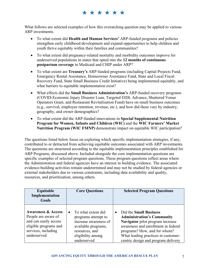# \* \* \* \* \* \*

What follows are selected examples of how this overarching question may be applied to various ARP investments.

- To what extent did **Health and Human Services'** ARP-funded programs and policies strengthen early childhood development and expand opportunities to help children and youth thrive equitably within their families and communities?
- To what extent did pregnancy-related mortality and morbidity outcomes improve for underserved populations in states that opted into the **12 months of continuous postpartum coverage** in Medicaid and CHIP under ARP?
- To what extent are **Treasury's** ARP-funded programs (including Capital Projects Fund, Emergency Rental Assistance, Homeowner Assistance Fund, State and Local Fiscal Recovery Fund, State Small Business Credit Initiative) being implemented equitably, and what barriers to equitable implementation exist?
- What effects did the **Small Business Administration's** ARP-funded recovery programs (COVID-Economic Injury Disaster Loan, Targeted EIDL Advance, Shuttered Venue Operators Grant, and Restaurant Revitalization Fund) have on small business outcomes (e.g., survival, employee retention, revenue, etc.), and how did these vary by industry, geography, and owner demographics?
- To what extent did the ARP-funded innovations in **Special Supplemental Nutrition Program for Women, Infants and Children (WIC)** and the **WIC Farmers' Market Nutrition Program (WIC FMNP)** demonstrate impact on equitable WIC participation?

The questions listed below focus on exploring which specific implementation strategies, if any, contributed to or detracted from achieving equitable outcomes associated with ARP investments. The questions are structured according to the equitable implementation principles established for ARP Programs, discussed above. Included alongside the core implementation questions are specific examples of selected program questions. These program questions reflect areas where the Administration and federal agencies have an interest in building evidence. The associated evidence-building activities remain undetermined and may not be studied by federal agencies or external stakeholders due to various constraints, including data availability and quality, resources, and prioritization, among others.

| Equitable<br>Implementation<br>Goals                                                                                                          | <b>Core Questions</b>                                                                                                                           | <b>Selected Program Questions</b>                                                                                                                                                                                                                                        |  |
|-----------------------------------------------------------------------------------------------------------------------------------------------|-------------------------------------------------------------------------------------------------------------------------------------------------|--------------------------------------------------------------------------------------------------------------------------------------------------------------------------------------------------------------------------------------------------------------------------|--|
| <b>Awareness &amp; Access:</b><br>People are aware of<br>and can easily access<br>eligible programs and<br>services, including<br>underserved | To what extent did<br>programs attempt to<br>increase awareness of<br>available programs,<br>resources, and<br>eligibility among<br>underserved | Did the <b>Small Business</b><br>$\bullet$<br><b>Administration's Community</b><br>Navigator pilot program increase<br>awareness and enrollment in federal<br>programs? How, and for whom?<br>What leading practices in customer-<br>centric design and program delivery |  |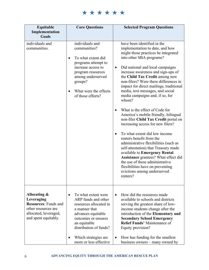\*\*\*\*\*\*

| Equitable<br>Implementation<br><b>Goals</b>                                                                                       | <b>Core Questions</b>                                                                                                                                                                                                                       | <b>Selected Program Questions</b>                                                                                                                                                                                                                                                                                                                                                                                                                                                                                                                                                                                                                                                                                                                                                                                                                                                                                              |  |  |
|-----------------------------------------------------------------------------------------------------------------------------------|---------------------------------------------------------------------------------------------------------------------------------------------------------------------------------------------------------------------------------------------|--------------------------------------------------------------------------------------------------------------------------------------------------------------------------------------------------------------------------------------------------------------------------------------------------------------------------------------------------------------------------------------------------------------------------------------------------------------------------------------------------------------------------------------------------------------------------------------------------------------------------------------------------------------------------------------------------------------------------------------------------------------------------------------------------------------------------------------------------------------------------------------------------------------------------------|--|--|
| individuals and<br>communities.                                                                                                   | individuals and<br>communities?<br>To what extent did<br>programs attempt to<br>increase access to<br>program resources<br>among underserved<br>groups?<br>What were the effects<br>of those efforts?                                       | have been identified in the<br>implementation to date, and how<br>might those practices be integrated<br>into other SBA programs?<br>Did national and local campaigns<br>$\bullet$<br>increase awareness and sign-ups of<br>the Child Tax Credit among new<br>non-filers? Were there differences in<br>impact for direct mailings, traditional<br>media, text messages, and social<br>media campaigns and, if so, for<br>whom?<br>What is the effect of Code for<br>America's mobile friendly, bilingual<br>non-filer Child Tax Credit portal on<br>increasing access for new filers?<br>To what extent did low income<br>renters benefit from the<br>administrative flexibilities (such as<br>self-attestation) that Treasury made<br>available to Emergency Rental<br>Assistance grantees? What effect did<br>the use of these administrative<br>flexibilities have on preventing<br>evictions among underserved<br>renters? |  |  |
| Allocating &<br>Leveraging<br><b>Resources: Funds and</b><br>other resources are<br>allocated, leveraged,<br>and spent equitably. | To what extent were<br>$\bullet$<br>ARP funds and other<br>resources allocated in<br>a manner that<br>advances equitable<br>outcomes or ensures<br>an equitable<br>distribution of funds?<br>Which strategies are<br>more or less effective | How did the resources made<br>$\bullet$<br>available to schools and districts<br>serving the greatest share of low-<br>income students change after the<br>introduction of the Elementary and<br><b>Secondary School Emergency</b><br><b>Relief Funds' Maintenance of</b><br>Equity provision?<br>How has funding for the smallest<br>$\bullet$<br>business owners – many owned by                                                                                                                                                                                                                                                                                                                                                                                                                                                                                                                                             |  |  |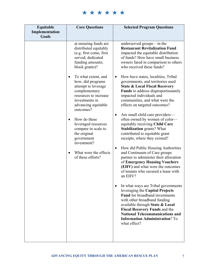\*\*\*\*\*\*

| Equitable<br>Implementation<br><b>Goals</b> | <b>Core Questions</b>                                                                                                                                                                                                                                                                                                                                                                                                                                                                      | <b>Selected Program Questions</b>                                                                                                                                                                                                                                                                                                                                                                                                                                                                                                                                                                                                                                                                                                                                                                                                                                                                                                                                                                                                                                                                                                                                                                                                                                                                                         |
|---------------------------------------------|--------------------------------------------------------------------------------------------------------------------------------------------------------------------------------------------------------------------------------------------------------------------------------------------------------------------------------------------------------------------------------------------------------------------------------------------------------------------------------------------|---------------------------------------------------------------------------------------------------------------------------------------------------------------------------------------------------------------------------------------------------------------------------------------------------------------------------------------------------------------------------------------------------------------------------------------------------------------------------------------------------------------------------------------------------------------------------------------------------------------------------------------------------------------------------------------------------------------------------------------------------------------------------------------------------------------------------------------------------------------------------------------------------------------------------------------------------------------------------------------------------------------------------------------------------------------------------------------------------------------------------------------------------------------------------------------------------------------------------------------------------------------------------------------------------------------------------|
|                                             | at ensuring funds are<br>distributed equitably<br>(e.g. first come, first<br>served; dedicated<br>funding amounts;<br>block grants)?<br>To what extent, and<br>$\bullet$<br>how, did programs<br>attempt to leverage<br>complementary<br>resources to increase<br>investments in<br>advancing equitable<br>outcomes?<br>How do these<br>$\bullet$<br>leveraged resources<br>compare in scale to<br>the original<br>government<br>investment?<br>What were the effects<br>of these efforts? | underserved groups $-$ in the<br><b>Restaurant Revitalization Fund</b><br>impacted the equitable distribution<br>of funds? How have small business<br>owners fared in comparison to others<br>who received these funds?<br>How have states, localities, Tribal<br>$\bullet$<br>governments, and territories used<br><b>State &amp; Local Fiscal Recovery</b><br>Funds to address disproportionately<br>impacted individuals and<br>communities, and what were the<br>effects on targeted outcomes?<br>Are small child care providers-<br>$\bullet$<br>often owned by women of color-<br>equitably receiving Child Care<br><b>Stabilization</b> grants? What<br>contributed to equitable grant<br>receipts, where they existed?<br>How did Public Housing Authorities<br>$\bullet$<br>and Continuum of Care groups<br>partner to administer their allocation<br>of Emergency Housing Vouchers<br>(EHV) and what were the outcomes<br>of tenants who secured a lease with<br>an EHV?<br>In what ways are Tribal governments<br>$\bullet$<br>leveraging the Capital Projects<br><b>Fund</b> for broadband investments<br>with other broadband funding<br>available through State & Local<br>Fiscal Recovery Funds and the<br><b>National Telecommunications and</b><br><b>Information Administration?</b> To<br>what effect? |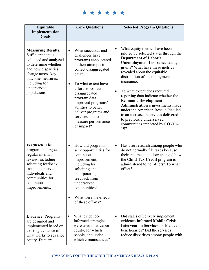\*\*\*\*\*\*

| Equitable<br>Implementation<br><b>Goals</b>                                                                                                                                                                        | <b>Core Questions</b>                                                                                                                                                                                                                                                                                                                           | <b>Selected Program Questions</b>                                                                                                                                                                                                                                                                                                                                                                                                                                                                                                                                                |
|--------------------------------------------------------------------------------------------------------------------------------------------------------------------------------------------------------------------|-------------------------------------------------------------------------------------------------------------------------------------------------------------------------------------------------------------------------------------------------------------------------------------------------------------------------------------------------|----------------------------------------------------------------------------------------------------------------------------------------------------------------------------------------------------------------------------------------------------------------------------------------------------------------------------------------------------------------------------------------------------------------------------------------------------------------------------------------------------------------------------------------------------------------------------------|
| <b>Measuring Results:</b><br>Sufficient data is<br>collected and analyzed<br>to determine whether<br>and how disparities<br>change across key<br>outcome measures,<br>including for<br>underserved<br>populations. | What successes and<br>$\bullet$<br>challenges have<br>programs encountered<br>in their attempts to<br>collect disaggregated<br>data?<br>To what extent have<br>efforts to collect<br>disaggregated<br>program data<br>improved programs'<br>abilities to better<br>deliver programs and<br>services and to<br>measure performance<br>or impact? | What equity metrics have been<br>٠<br>piloted by selected states through the<br><b>Department of Labor's</b><br><b>Unemployment Insurance equity</b><br>grants? What have these metrics<br>revealed about the equitable<br>distribution of unemployment<br>insurance?<br>To what extent does required<br>٠<br>reporting data indicate whether the<br><b>Economic Development</b><br><b>Administration's investments made</b><br>under the American Rescue Plan led<br>to an increase in services delivered<br>to previously underserved<br>communities impacted by COVID-<br>19? |
| Feedback: The<br>program undergoes<br>regular internal<br>review, including<br>soliciting feedback<br>from underserved<br>individuals and<br>communities for<br>continuous<br>improvements.                        | How did programs<br>$\bullet$<br>seek opportunities for<br>continuous<br>improvement,<br>including by<br>soliciting and<br>incorporating<br>feedback from<br>underserved<br>communities?<br>What were the effects<br>of these efforts?                                                                                                          | Has user research among people who<br>$\bullet$<br>do not normally file taxes because<br>their income is too low changed how<br>the Child Tax Credit program is<br>administered to non-filers? To what<br>effect?                                                                                                                                                                                                                                                                                                                                                                |
| <b>Evidence: Programs</b><br>are designed and<br>implemented based on<br>existing evidence of<br>what works to advance<br>equity. Data are                                                                         | What evidence-<br>$\bullet$<br>informed strategies<br>were used to advance<br>equity, for which<br>people, and under<br>which circumstances?                                                                                                                                                                                                    | Did states effectively implement<br>$\bullet$<br>evidence-informed Mobile Crisis<br><b>Intervention Services for Medicaid</b><br>beneficiaries? Did the services<br>reduce disparities among people with                                                                                                                                                                                                                                                                                                                                                                         |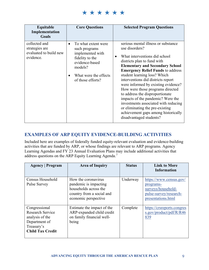\*\*\*\*\*\*

| Equitable<br>Implementation<br><b>Goals</b>                            | <b>Core Questions</b>                                                                                                                                  | <b>Selected Program Questions</b>                                                                                                                                                                                                                                                                                                                                                                                                                                                                                                                                                 |
|------------------------------------------------------------------------|--------------------------------------------------------------------------------------------------------------------------------------------------------|-----------------------------------------------------------------------------------------------------------------------------------------------------------------------------------------------------------------------------------------------------------------------------------------------------------------------------------------------------------------------------------------------------------------------------------------------------------------------------------------------------------------------------------------------------------------------------------|
| collected and<br>strategies are<br>evaluated to build new<br>evidence. | To what extent were<br>such programs<br>implemented with<br>fidelity to the<br>evidence-based<br>models?<br>What were the effects<br>of those efforts? | serious mental illness or substance<br>use disorders?<br>What interventions did school<br>districts plan to fund with<br><b>Elementary and Secondary School</b><br><b>Emergency Relief Funds to address</b><br>student learning loss? Which<br>interventions did districts report<br>were informed by existing evidence?<br>How were those programs directed<br>to address the disproportionate<br>impacts of the pandemic? Were the<br>investments associated with reducing<br>or eliminating the pre-existing<br>achievement gaps among historically<br>disadvantaged students? |

## **EXAMPLES OF ARP EQUITY EVIDENCE-BUILDING ACTIVITIES**

Included here are examples of federally funded equity-relevant evaluation and evidence-building activities that are funded by ARP, or whose findings are relevant to ARP programs. Agency Learning Agendas and FY 23 Annual Evaluation Plans may include additional activities that address questions on the ARP Equity Learning Agenda.[7](#page-13-6)

| <b>Agency</b>   Program                                                                                        | <b>Area of Inquiry</b>                                                                                                     | <b>Status</b> | <b>Link to More</b><br><b>Information</b>                                                                  |
|----------------------------------------------------------------------------------------------------------------|----------------------------------------------------------------------------------------------------------------------------|---------------|------------------------------------------------------------------------------------------------------------|
| Census Household<br><b>Pulse Survey</b>                                                                        | How the coronavirus<br>pandemic is impacting<br>households across the<br>country from a social and<br>economic perspective | Underway      | https://www.census.gov/<br>programs-<br>surveys/household-<br>pulse-survey/research-<br>presentations.html |
| Congressional<br>Research Service<br>analysis of the<br>Department of<br>Treasury's<br><b>Child Tax Credit</b> | Estimate the impact of the<br>ARP-expanded child credit<br>on family financial well-<br>being                              | Complete      | https://crsreports.congres<br>s.gov/product/pdf/R/R46<br>839                                               |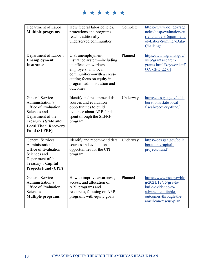\*\*\*\*\*\*

| Department of Labor<br><b>Multiple programs</b>                                                                                                                                         | How federal labor policies,<br>protections and programs<br>reach traditionally<br>underserved communities                                                                                               | Complete | https://www.dol.gov/age<br>ncies/oasp/evaluation/cu<br>rrentstudies/Department-<br>of-Labor-Summer-Data-<br>Challenge                          |
|-----------------------------------------------------------------------------------------------------------------------------------------------------------------------------------------|---------------------------------------------------------------------------------------------------------------------------------------------------------------------------------------------------------|----------|------------------------------------------------------------------------------------------------------------------------------------------------|
| Department of Labor's<br>Unemployment<br><b>Insurance</b>                                                                                                                               | U.S. unemployment<br>insurance system—including<br>its effects on workers,<br>employers, and local<br>communities—with a cross-<br>cutting focus on equity in<br>program administration and<br>outcomes | Planned  | https://www.grants.gov/<br>web/grants/search-<br>grants.html?keywords=F<br><b>OA-CEO-22-01</b>                                                 |
| <b>General Services</b><br>Administration's<br>Office of Evaluation<br>Sciences and<br>Department of the<br>Treasury's State and<br><b>Local Fiscal Recovery</b><br><b>Fund (SLFRF)</b> | Identify and recommend data<br>sources and evaluation<br>opportunities to build<br>evidence about ARP funds<br>spent through the SLFRF<br>program                                                       | Underway | https://oes.gsa.gov/colla<br>borations/state-local-<br>fiscal-recovery-fund/                                                                   |
| <b>General Services</b><br>Administration's<br>Office of Evaluation<br>Sciences and<br>Department of the<br>Treasury's Capital<br><b>Projects Fund (CPF)</b>                            | Identify and recommend data<br>sources and evaluation<br>opportunities for the CPF<br>program                                                                                                           | Underway | https://oes.gsa.gov/colla<br>borations/capital-<br>projects-fund/                                                                              |
| <b>General Services</b><br>Administration's<br>Office of Evaluation<br>Sciences<br><b>Multiple programs</b>                                                                             | How to improve awareness,<br>access, and allocation of<br>ARP programs and<br>resources, focusing on ARP<br>programs with equity goals                                                                  | Planned  | https://www.gsa.gov/blo<br>$g/2021/12/15/gsa-to-$<br>build-evidence-to-<br>advance-equitable-<br>outcomes-through-the-<br>american-rescue-plan |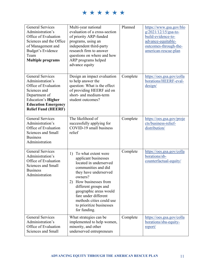\*\*\*\*\*\*

| <b>General Services</b><br>Administration's<br>Office of Evaluation<br>Sciences and the Office<br>of Management and<br>Budget's Evidence<br>Team<br><b>Multiple programs</b>                  | Multi-year national<br>evaluation of a cross-section<br>of priority ARP-funded<br>programs, using an<br>independent third-party<br>research firm to answer<br>questions on where and how<br>ARP programs helped<br>advance equity                                                                               | Planned  | https://www.gsa.gov/blo<br>$g/2021/12/15/gsa-to-$<br>build-evidence-to-<br>advance-equitable-<br>outcomes-through-the-<br>american-rescue-plan |
|-----------------------------------------------------------------------------------------------------------------------------------------------------------------------------------------------|-----------------------------------------------------------------------------------------------------------------------------------------------------------------------------------------------------------------------------------------------------------------------------------------------------------------|----------|------------------------------------------------------------------------------------------------------------------------------------------------|
| <b>General Services</b><br>Administration's<br>Office of Evaluation<br>Sciences and<br>Department of<br><b>Education's Higher</b><br><b>Education Emergency</b><br><b>Relief Fund (HEERF)</b> | Design an impact evaluation<br>to help answer the<br>question: What is the effect<br>of providing HEERF aid on<br>short- and medium-term<br>student outcomes?                                                                                                                                                   | Complete | https://oes.gsa.gov/colla<br>borations/HEERF-eval-<br>design/                                                                                  |
| <b>General Services</b><br>Administration's<br>Office of Evaluation<br>Sciences and Small<br><b>Business</b><br>Administration                                                                | The likelihood of<br>successfully applying for<br>COVID-19 small business<br>relief                                                                                                                                                                                                                             | Complete | https://oes.gsa.gov/proje<br>cts/business-relief-<br>distribution/                                                                             |
| <b>General Services</b><br>Administration's<br>Office of Evaluation<br>Sciences and Small<br><b>Business</b><br>Administration                                                                | 1) To what extent were<br>applicant businesses<br>located in underserved<br>communities and did<br>they have underserved<br>owners?<br>2) How businesses from<br>different groups and<br>geographic areas would<br>fare under different<br>methods cities could use<br>to prioritize businesses<br>for funding. | Complete | https://oes.gsa.gov/colla<br>borations/sb-<br>counterfactual-equity/                                                                           |
| <b>General Services</b><br>Administration's<br>Office of Evaluation<br>Sciences and Small                                                                                                     | What strategies can be<br>implemented to help women,<br>minority, and other<br>underserved entrepreneurs                                                                                                                                                                                                        | Complete | https://oes.gsa.gov/colla<br>borations/sba-equity-<br>report/                                                                                  |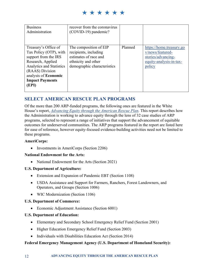\* \* \* \* \* \*

| <b>Business</b><br>Administration                                                                                                                                                                                   | recover from the coronavirus<br>(COVID-19) pandemic?                                                                           |         |                                                                                                         |
|---------------------------------------------------------------------------------------------------------------------------------------------------------------------------------------------------------------------|--------------------------------------------------------------------------------------------------------------------------------|---------|---------------------------------------------------------------------------------------------------------|
| Treasury's Office of<br>Tax Policy (OTP), with<br>support from the IRS<br>Research, Applied<br><b>Analytics and Statistics</b><br>(RAAS) Division<br>analysis of <b>Economic</b><br><b>Impact Payments</b><br>(EPI) | The composition of EIP<br>recipients, including<br>estimates of race and<br>ethnicity and other<br>demographic characteristics | Planned | https://home.treasury.go<br>v/news/featured-<br>stories/advancing-<br>equity-analysis-in-tax-<br>policy |

## **SELECT AMERICAN RESCUE PLAN PROGRAMS**

Of the more than 200 ARP-funded programs, the following ones are featured in the White House's report, *[Advancing Equity through the American Rescue Plan.](https://www.whitehouse.gov/wp-content/uploads/2022/05/ADVANCING-EQUITY-THROUGH-THE-AMERICAN-RESCUE-PLAN.pdf)* This report describes how the Administration is working to advance equity through the lens of 32 case studies of ARP programs, selected to represent a range of initiatives that support the advancement of equitable outcomes for underserved communities. The ARP programs featured in the report are listed here for ease of reference, however equity-focused evidence-building activities need not be limited to these programs.

#### **AmeriCorps:**

• Investments in AmeriCorps (Section 2206)

#### **National Endowment for the Arts:**

• National Endowment for the Arts (Section 2021)

#### **U.S. Department of Agriculture:**

- Extension and Expansion of Pandemic EBT (Section 1108)
- USDA Assistance and Support for Farmers, Ranchers, Forest Landowners, and Operators, and Groups (Section 1006)
- WIC Modernization (Section 1106)

#### **U.S. Department of Commerce:**

• Economic Adjustment Assistance (Section 6001)

#### **U.S. Department of Education:**

- Elementary and Secondary School Emergency Relief Fund (Section 2001)
- Higher Education Emergency Relief Fund (Section 2003)
- Individuals with Disabilities Education Act (Section 2014)

#### **Federal Emergency Management Agency (U.S. Department of Homeland Security):**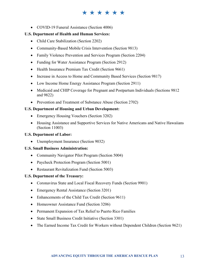# \*\*\*\*\*\*

• COVID-19 Funeral Assistance (Section 4006)

#### **U.S. Department of Health and Human Services:**

- Child Care Stabilization (Section 2202)
- Community-Based Mobile Crisis Intervention (Section 9813)
- Family Violence Prevention and Services Program (Section 2204)
- Funding for Water Assistance Program (Section 2912)
- Health Insurance Premium Tax Credit (Section 9661)
- Increase in Access to Home and Community Based Services (Section 9817)
- Low Income Home Energy Assistance Program (Section 2911)
- Medicaid and CHIP Coverage for Pregnant and Postpartum Individuals (Sections 9812) and 9822)
- Prevention and Treatment of Substance Abuse (Section 2702)

#### **U.S. Department of Housing and Urban Development:**

- Emergency Housing Vouchers (Section 3202)
- Housing Assistance and Supportive Services for Native Americans and Native Hawaiians (Section 11003)

#### **U.S. Department of Labor:**

• Unemployment Insurance (Section 9032)

#### **U.S. Small Business Administration:**

- Community Navigator Pilot Program (Section 5004)
- Paycheck Protection Program (Section 5001)
- Restaurant Revitalization Fund (Section 5003)

#### **U.S. Department of the Treasury:**

- Coronavirus State and Local Fiscal Recovery Funds (Section 9901)
- Emergency Rental Assistance (Section 3201)
- Enhancements of the Child Tax Credit (Section 9611)
- Homeowner Assistance Fund (Section 3206)
- Permanent Expansion of Tax Relief to Puerto Rico Families
- State Small Business Credit Initiative (Section 3301)
- The Earned Income Tax Credit for Workers without Dependent Children (Section 9621)